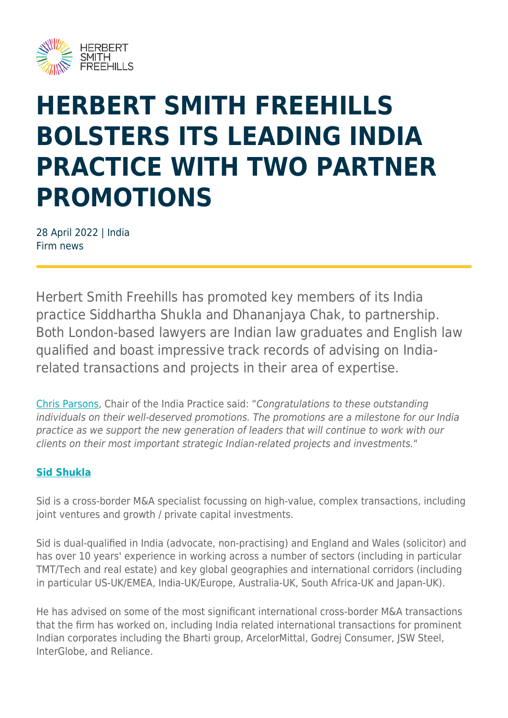

# **HERBERT SMITH FREEHILLS BOLSTERS ITS LEADING INDIA PRACTICE WITH TWO PARTNER PROMOTIONS**

28 April 2022 | India Firm news

Herbert Smith Freehills has promoted key members of its India practice Siddhartha Shukla and Dhananjaya Chak, to partnership. Both London-based lawyers are Indian law graduates and English law qualified and boast impressive track records of advising on Indiarelated transactions and projects in their area of expertise.

[Chris Parsons,](https://www.herbertsmithfreehills.com/our-people/chris-parsons) Chair of the India Practice said: "Congratulations to these outstanding individuals on their well-deserved promotions. The promotions are a milestone for our India practice as we support the new generation of leaders that will continue to work with our clients on their most important strategic Indian-related projects and investments."

### **[Sid Shukla](https://www.herbertsmithfreehills.com/our-people/siddhartha-shukla)**

Sid is a cross-border M&A specialist focussing on high-value, complex transactions, including joint ventures and growth / private capital investments.

Sid is dual-qualified in India (advocate, non-practising) and England and Wales (solicitor) and has over 10 years' experience in working across a number of sectors (including in particular TMT/Tech and real estate) and key global geographies and international corridors (including in particular US-UK/EMEA, India-UK/Europe, Australia-UK, South Africa-UK and Japan-UK).

He has advised on some of the most significant international cross-border M&A transactions that the firm has worked on, including India related international transactions for prominent Indian corporates including the Bharti group, ArcelorMittal, Godrej Consumer, JSW Steel, InterGlobe, and Reliance.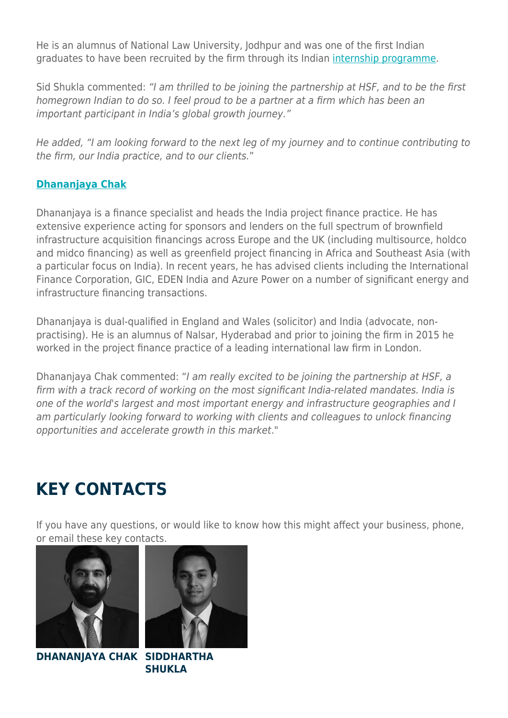He is an alumnus of National Law University, Jodhpur and was one of the first Indian graduates to have been recruited by the firm through its Indian [internship programme](https://careers.herbertsmithfreehills.com/in/grads/india-internship).

Sid Shukla commented: "I am thrilled to be joining the partnership at HSF, and to be the first homegrown Indian to do so. I feel proud to be a partner at a firm which has been an important participant in India's global growth journey."

He added, "I am looking forward to the next leg of my journey and to continue contributing to the firm, our India practice, and to our clients."

### **[Dhananjaya Chak](https://www.herbertsmithfreehills.com/our-people/dhananjaya-chak)**

Dhananjaya is a finance specialist and heads the India project finance practice. He has extensive experience acting for sponsors and lenders on the full spectrum of brownfield infrastructure acquisition financings across Europe and the UK (including multisource, holdco and midco financing) as well as greenfield project financing in Africa and Southeast Asia (with a particular focus on India). In recent years, he has advised clients including the International Finance Corporation, GIC, EDEN India and Azure Power on a number of significant energy and infrastructure financing transactions.

Dhananjaya is dual-qualified in England and Wales (solicitor) and India (advocate, nonpractising). He is an alumnus of Nalsar, Hyderabad and prior to joining the firm in 2015 he worked in the project finance practice of a leading international law firm in London.

Dhananjaya Chak commented: "I am really excited to be joining the partnership at HSF, a firm with a track record of working on the most significant India-related mandates. India is one of the world's largest and most important energy and infrastructure geographies and I am particularly looking forward to working with clients and colleagues to unlock financing opportunities and accelerate growth in this market."

## **KEY CONTACTS**

If you have any questions, or would like to know how this might affect your business, phone, or email these key contacts.





**DHANANJAYA CHAK SIDDHARTHA SHUKLA**